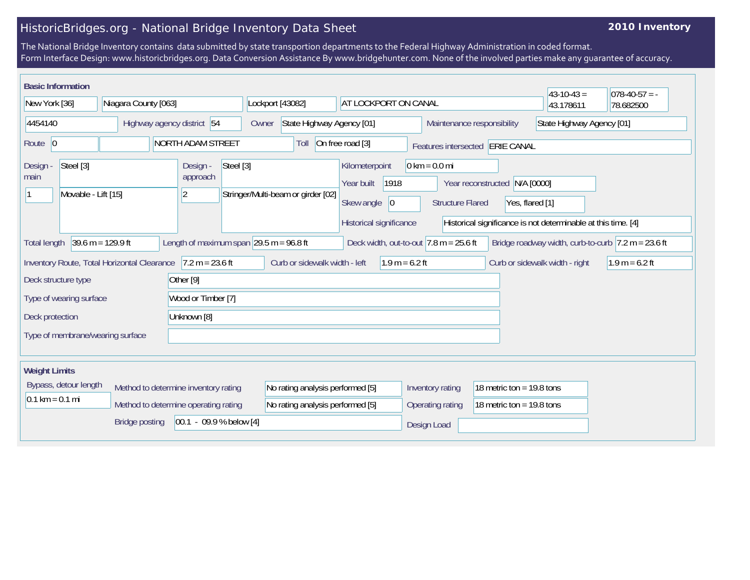## HistoricBridges.org - National Bridge Inventory Data Sheet

## **2010 Inventory**

The National Bridge Inventory contains data submitted by state transportion departments to the Federal Highway Administration in coded format. Form Interface Design: www.historicbridges.org. Data Conversion Assistance By www.bridgehunter.com. None of the involved parties make any guarantee of accuracy.

|                                                                                                                           | <b>Basic Information</b><br>$43 - 10 - 43 =$<br>$ 078-40-57 = -$ |                            |                                                |                                                                                                                                                                 |                                    |                                    |                              |                                                                                                             |                                                                     |                                 |                                |                             |  |                           |  |
|---------------------------------------------------------------------------------------------------------------------------|------------------------------------------------------------------|----------------------------|------------------------------------------------|-----------------------------------------------------------------------------------------------------------------------------------------------------------------|------------------------------------|------------------------------------|------------------------------|-------------------------------------------------------------------------------------------------------------|---------------------------------------------------------------------|---------------------------------|--------------------------------|-----------------------------|--|---------------------------|--|
| New York [36]                                                                                                             |                                                                  | Niagara County [063]       |                                                |                                                                                                                                                                 |                                    | Lockport [43082]                   |                              | AT LOCKPORT ON CANAL                                                                                        |                                                                     |                                 | 43.178611                      | 78.682500                   |  |                           |  |
| 4454140                                                                                                                   |                                                                  | Highway agency district 54 |                                                |                                                                                                                                                                 |                                    | State Highway Agency [01]<br>Owner |                              |                                                                                                             |                                                                     |                                 | Maintenance responsibility     |                             |  | State Highway Agency [01] |  |
| Route 0                                                                                                                   |                                                                  |                            |                                                | <b>NORTH ADAM STREET</b>                                                                                                                                        |                                    | On free road [3]<br>Toll           |                              |                                                                                                             |                                                                     | Features intersected ERIE CANAL |                                |                             |  |                           |  |
| Steel [3]<br>Design -<br>main<br>Movable - Lift [15]                                                                      |                                                                  |                            | Steel [3]<br>Design -<br>approach<br>$\vert$ 2 |                                                                                                                                                                 | Stringer/Multi-beam or girder [02] |                                    | Kilometerpoint<br>Year built | 1918                                                                                                        | $0 \text{ km} = 0.0 \text{ mi}$<br>N/A [0000]<br>Year reconstructed |                                 |                                |                             |  |                           |  |
|                                                                                                                           |                                                                  |                            |                                                |                                                                                                                                                                 |                                    | Skew angle $ 0$                    |                              | <b>Structure Flared</b><br>Yes, flared [1]<br>Historical significance is not determinable at this time. [4] |                                                                     |                                 |                                |                             |  |                           |  |
| $39.6 \text{ m} = 129.9 \text{ ft}$<br>Length of maximum span $ 29.5 \text{ m} = 96.8 \text{ ft} $<br><b>Total length</b> |                                                                  |                            |                                                | Historical significance<br>Deck width, out-to-out $ 7.8 \text{ m} = 25.6 \text{ ft} $<br>Bridge roadway width, curb-to-curb $ 7.2 \text{ m} = 23.6 \text{ ft} $ |                                    |                                    |                              |                                                                                                             |                                                                     |                                 |                                |                             |  |                           |  |
| Inventory Route, Total Horizontal Clearance 7.2 m = 23.6 ft                                                               |                                                                  |                            |                                                | Curb or sidewalk width - left                                                                                                                                   |                                    |                                    | $1.9 m = 6.2 ft$             |                                                                                                             |                                                                     |                                 | Curb or sidewalk width - right | $1.9 m = 6.2 ft$            |  |                           |  |
| Other [9]<br>Deck structure type                                                                                          |                                                                  |                            |                                                |                                                                                                                                                                 |                                    |                                    |                              |                                                                                                             |                                                                     |                                 |                                |                             |  |                           |  |
| Type of wearing surface                                                                                                   |                                                                  |                            | Wood or Timber [7]                             |                                                                                                                                                                 |                                    |                                    |                              |                                                                                                             |                                                                     |                                 |                                |                             |  |                           |  |
| Deck protection                                                                                                           |                                                                  |                            | Unknown [8]                                    |                                                                                                                                                                 |                                    |                                    |                              |                                                                                                             |                                                                     |                                 |                                |                             |  |                           |  |
| Type of membrane/wearing surface                                                                                          |                                                                  |                            |                                                |                                                                                                                                                                 |                                    |                                    |                              |                                                                                                             |                                                                     |                                 |                                |                             |  |                           |  |
|                                                                                                                           |                                                                  |                            |                                                |                                                                                                                                                                 |                                    |                                    |                              |                                                                                                             |                                                                     |                                 |                                |                             |  |                           |  |
| <b>Weight Limits</b>                                                                                                      |                                                                  |                            |                                                |                                                                                                                                                                 |                                    |                                    |                              |                                                                                                             |                                                                     |                                 |                                |                             |  |                           |  |
| Bypass, detour length<br>$0.1 \text{ km} = 0.1 \text{ mi}$                                                                |                                                                  |                            | Method to determine inventory rating           |                                                                                                                                                                 |                                    | No rating analysis performed [5]   |                              |                                                                                                             |                                                                     | Inventory rating                |                                | 18 metric ton = $19.8$ tons |  |                           |  |
|                                                                                                                           |                                                                  |                            |                                                | Method to determine operating rating                                                                                                                            |                                    | No rating analysis performed [5]   |                              |                                                                                                             |                                                                     | Operating rating                |                                | 18 metric ton = $19.8$ tons |  |                           |  |
| $ 00.1 - 09.9 %$ below [4]<br><b>Bridge posting</b>                                                                       |                                                                  |                            |                                                |                                                                                                                                                                 |                                    |                                    |                              | Design Load                                                                                                 |                                                                     |                                 |                                |                             |  |                           |  |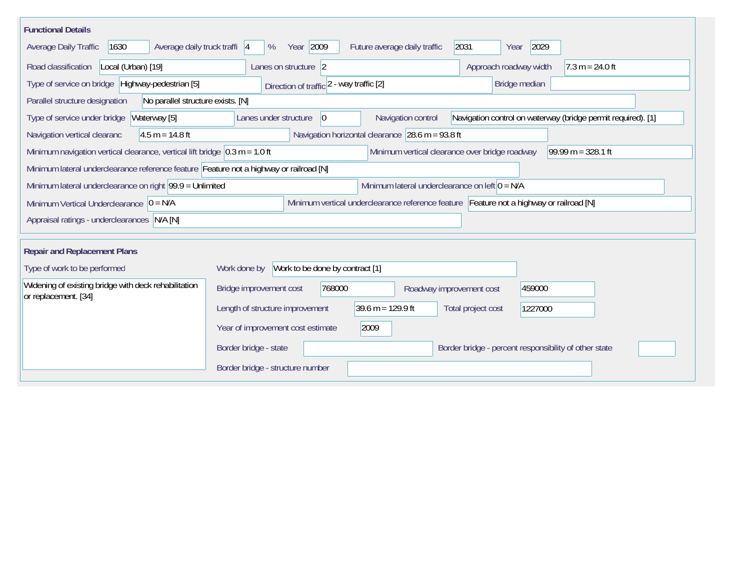| <b>Functional Details</b>                                                                                                                                    |                                                                                                                               |  |  |  |  |  |
|--------------------------------------------------------------------------------------------------------------------------------------------------------------|-------------------------------------------------------------------------------------------------------------------------------|--|--|--|--|--|
| 1630<br>Average daily truck traffi 4<br>Average Daily Traffic                                                                                                | Year 2009<br>2031<br>2029<br>Future average daily traffic<br>%<br>Year                                                        |  |  |  |  |  |
| Road classification<br>Local (Urban) [19]                                                                                                                    | Approach roadway width<br>Lanes on structure 2<br>$7.3 m = 24.0 ft$                                                           |  |  |  |  |  |
| Type of service on bridge Highway-pedestrian [5]                                                                                                             | Bridge median<br>Direction of traffic 2 - way traffic [2]                                                                     |  |  |  |  |  |
| Parallel structure designation<br>No parallel structure exists. [N]                                                                                          |                                                                                                                               |  |  |  |  |  |
| Type of service under bridge<br>Waterway [5]                                                                                                                 | Navigation control on waterway (bridge permit required). [1]<br>Navigation control<br>Lanes under structure<br>$\overline{0}$ |  |  |  |  |  |
| $4.5 m = 14.8 ft$<br>Navigation vertical clearanc                                                                                                            | Navigation horizontal clearance $\vert$ 28.6 m = 93.8 ft                                                                      |  |  |  |  |  |
| Minimum navigation vertical clearance, vertical lift bridge $\vert$ 0.3 m = 1.0 ft<br>Minimum vertical clearance over bridge roadway<br>$99.99 m = 328.1 ft$ |                                                                                                                               |  |  |  |  |  |
| Minimum lateral underclearance reference feature Feature not a highway or railroad [N]                                                                       |                                                                                                                               |  |  |  |  |  |
| Minimum lateral underclearance on left $0 = N/A$<br>Minimum lateral underclearance on right $99.9 =$ Unlimited                                               |                                                                                                                               |  |  |  |  |  |
| Minimum Vertical Underclearance $ 0 = N/A$                                                                                                                   | Minimum vertical underclearance reference feature Feature not a highway or railroad [N]                                       |  |  |  |  |  |
| Appraisal ratings - underclearances N/A [N]                                                                                                                  |                                                                                                                               |  |  |  |  |  |
|                                                                                                                                                              |                                                                                                                               |  |  |  |  |  |
| <b>Repair and Replacement Plans</b>                                                                                                                          |                                                                                                                               |  |  |  |  |  |
| Type of work to be performed                                                                                                                                 | Work to be done by contract [1]<br>Work done by                                                                               |  |  |  |  |  |
| Widening of existing bridge with deck rehabilitation<br>or replacement. [34]                                                                                 | 768000<br>Bridge improvement cost<br>459000<br>Roadway improvement cost                                                       |  |  |  |  |  |
|                                                                                                                                                              | $39.6 \text{ m} = 129.9 \text{ ft}$<br>Length of structure improvement<br>Total project cost<br>1227000                       |  |  |  |  |  |
|                                                                                                                                                              | Year of improvement cost estimate<br>2009                                                                                     |  |  |  |  |  |
|                                                                                                                                                              | Border bridge - state<br>Border bridge - percent responsibility of other state                                                |  |  |  |  |  |
|                                                                                                                                                              | Border bridge - structure number                                                                                              |  |  |  |  |  |